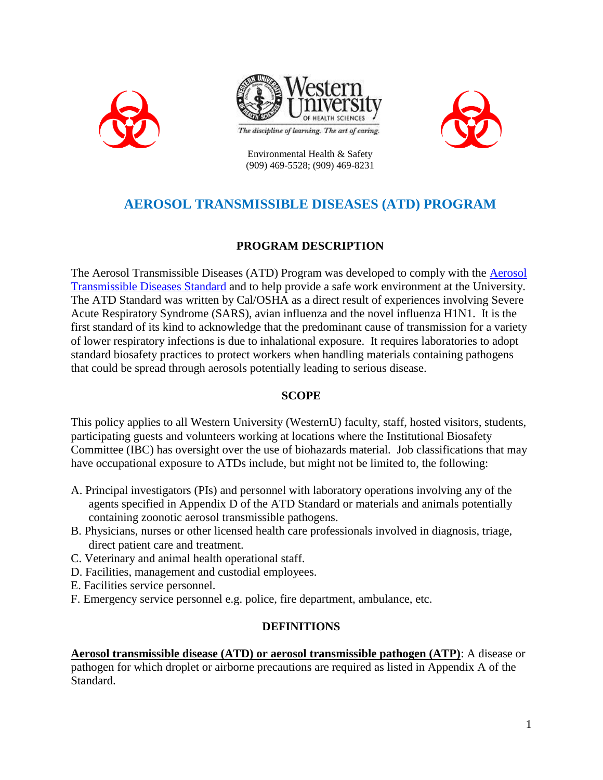





Environmental Health & Safety (909) 469-5528; (909) 469-8231

# **AEROSOL TRANSMISSIBLE DISEASES (ATD) PROGRAM**

# **PROGRAM DESCRIPTION**

The Aerosol Transmissible Diseases (ATD) Program was developed to comply with the [Aerosol](http://www.cdph.ca.gov/programs/ohb/Pages/ATDStd.aspx)  [Transmissible Diseases Standard](http://www.cdph.ca.gov/programs/ohb/Pages/ATDStd.aspx) and to help provide a safe work environment at the University. The ATD Standard was written by Cal/OSHA as a direct result of experiences involving Severe Acute Respiratory Syndrome (SARS), avian influenza and the novel influenza H1N1. It is the first standard of its kind to acknowledge that the predominant cause of transmission for a variety of lower respiratory infections is due to inhalational exposure. It requires laboratories to adopt standard biosafety practices to protect workers when handling materials containing pathogens that could be spread through aerosols potentially leading to serious disease.

### **SCOPE**

This policy applies to all Western University (WesternU) faculty, staff, hosted visitors, students, participating guests and volunteers working at locations where the Institutional Biosafety Committee (IBC) has oversight over the use of biohazards material. Job classifications that may have occupational exposure to ATDs include, but might not be limited to, the following:

- A. Principal investigators (PIs) and personnel with laboratory operations involving any of the agents specified in Appendix D of the ATD Standard or materials and animals potentially containing zoonotic aerosol transmissible pathogens.
- B. Physicians, nurses or other licensed health care professionals involved in diagnosis, triage, direct patient care and treatment.
- C. Veterinary and animal health operational staff.
- D. Facilities, management and custodial employees.
- E. Facilities service personnel.
- F. Emergency service personnel e.g. police, fire department, ambulance, etc.

#### **DEFINITIONS**

**Aerosol transmissible disease (ATD) or aerosol transmissible pathogen (ATP)**: A disease or pathogen for which droplet or airborne precautions are required as listed in Appendix A of the Standard.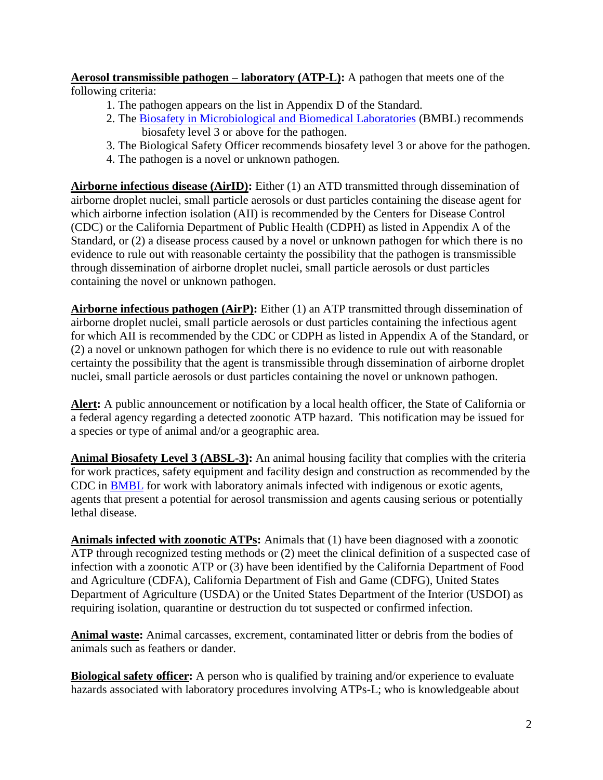**Aerosol transmissible pathogen – laboratory (ATP-L):** A pathogen that meets one of the following criteria:

- 1. The pathogen appears on the list in Appendix D of the Standard.
- 2. The [Biosafety in Microbiological and Biomedical Laboratories](http://www.westernu.edu/bin/research/bmbl.pdf) (BMBL) recommends biosafety level 3 or above for the pathogen.
- 3. The Biological Safety Officer recommends biosafety level 3 or above for the pathogen.
- 4. The pathogen is a novel or unknown pathogen.

**Airborne infectious disease (AirID):** Either (1) an ATD transmitted through dissemination of airborne droplet nuclei, small particle aerosols or dust particles containing the disease agent for which airborne infection isolation (AII) is recommended by the Centers for Disease Control (CDC) or the California Department of Public Health (CDPH) as listed in Appendix A of the Standard, or (2) a disease process caused by a novel or unknown pathogen for which there is no evidence to rule out with reasonable certainty the possibility that the pathogen is transmissible through dissemination of airborne droplet nuclei, small particle aerosols or dust particles containing the novel or unknown pathogen.

**Airborne infectious pathogen (AirP):** Either (1) an ATP transmitted through dissemination of airborne droplet nuclei, small particle aerosols or dust particles containing the infectious agent for which AII is recommended by the CDC or CDPH as listed in Appendix A of the Standard, or (2) a novel or unknown pathogen for which there is no evidence to rule out with reasonable certainty the possibility that the agent is transmissible through dissemination of airborne droplet nuclei, small particle aerosols or dust particles containing the novel or unknown pathogen.

**Alert:** A public announcement or notification by a local health officer, the State of California or a federal agency regarding a detected zoonotic ATP hazard. This notification may be issued for a species or type of animal and/or a geographic area.

**Animal Biosafety Level 3 (ABSL-3):** An animal housing facility that complies with the criteria for work practices, safety equipment and facility design and construction as recommended by the CDC in [BMBL](http://www.westernu.edu/bin/research/bmbl.pdf) for work with laboratory animals infected with indigenous or exotic agents, agents that present a potential for aerosol transmission and agents causing serious or potentially lethal disease.

**Animals infected with zoonotic ATPs:** Animals that (1) have been diagnosed with a zoonotic ATP through recognized testing methods or (2) meet the clinical definition of a suspected case of infection with a zoonotic ATP or (3) have been identified by the California Department of Food and Agriculture (CDFA), California Department of Fish and Game (CDFG), United States Department of Agriculture (USDA) or the United States Department of the Interior (USDOI) as requiring isolation, quarantine or destruction du tot suspected or confirmed infection.

**Animal waste:** Animal carcasses, excrement, contaminated litter or debris from the bodies of animals such as feathers or dander.

**Biological safety officer:** A person who is qualified by training and/or experience to evaluate hazards associated with laboratory procedures involving ATPs-L; who is knowledgeable about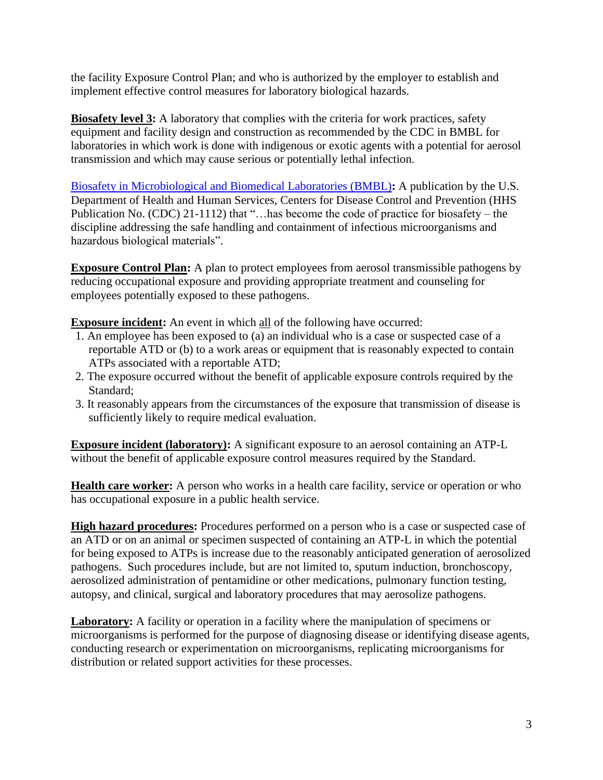the facility Exposure Control Plan; and who is authorized by the employer to establish and implement effective control measures for laboratory biological hazards.

**Biosafety level 3:** A laboratory that complies with the criteria for work practices, safety equipment and facility design and construction as recommended by the CDC in BMBL for laboratories in which work is done with indigenous or exotic agents with a potential for aerosol transmission and which may cause serious or potentially lethal infection.

[Biosafety in Microbiological and Biomedical Laboratories](http://www.westernu.edu/bin/research/bmbl.pdf) (BMBL)**:** A publication by the U.S. Department of Health and Human Services, Centers for Disease Control and Prevention (HHS Publication No. (CDC) 21-1112) that "…has become the code of practice for biosafety – the discipline addressing the safe handling and containment of infectious microorganisms and hazardous biological materials".

**Exposure Control Plan:** A plan to protect employees from aerosol transmissible pathogens by reducing occupational exposure and providing appropriate treatment and counseling for employees potentially exposed to these pathogens.

**Exposure incident:** An event in which all of the following have occurred:

- 1. An employee has been exposed to (a) an individual who is a case or suspected case of a reportable ATD or (b) to a work areas or equipment that is reasonably expected to contain ATPs associated with a reportable ATD;
- 2. The exposure occurred without the benefit of applicable exposure controls required by the Standard;
- 3. It reasonably appears from the circumstances of the exposure that transmission of disease is sufficiently likely to require medical evaluation.

**Exposure incident (laboratory):** A significant exposure to an aerosol containing an ATP-L without the benefit of applicable exposure control measures required by the Standard.

**Health care worker:** A person who works in a health care facility, service or operation or who has occupational exposure in a public health service.

**High hazard procedures:** Procedures performed on a person who is a case or suspected case of an ATD or on an animal or specimen suspected of containing an ATP-L in which the potential for being exposed to ATPs is increase due to the reasonably anticipated generation of aerosolized pathogens. Such procedures include, but are not limited to, sputum induction, bronchoscopy, aerosolized administration of pentamidine or other medications, pulmonary function testing, autopsy, and clinical, surgical and laboratory procedures that may aerosolize pathogens.

**Laboratory:** A facility or operation in a facility where the manipulation of specimens or microorganisms is performed for the purpose of diagnosing disease or identifying disease agents, conducting research or experimentation on microorganisms, replicating microorganisms for distribution or related support activities for these processes.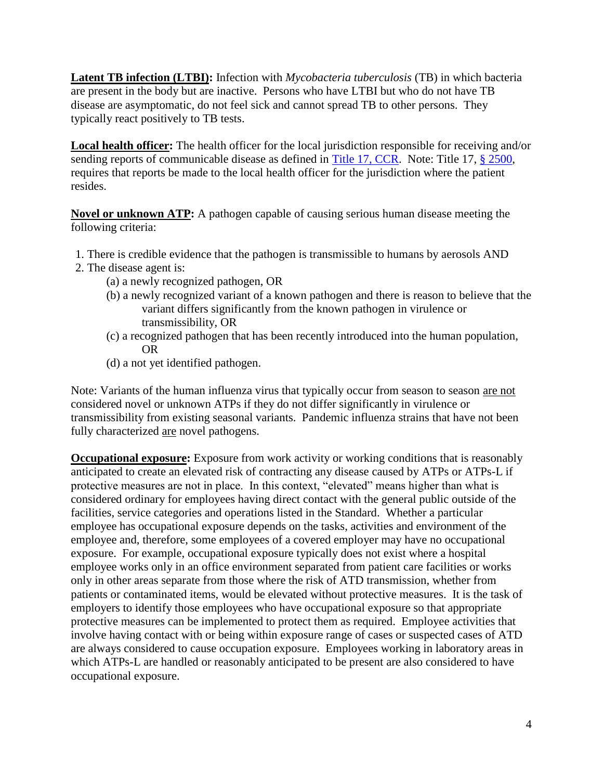**Latent TB infection (LTBI):** Infection with *Mycobacteria tuberculosis* (TB) in which bacteria are present in the body but are inactive. Persons who have LTBI but who do not have TB disease are asymptomatic, do not feel sick and cannot spread TB to other persons. They typically react positively to TB tests.

**Local health officer:** The health officer for the local jurisdiction responsible for receiving and/or sending reports of communicable disease as defined in [Title 17, CCR.](http://www.dds.ca.gov/title17/home.cfm) Note: Title 17, [§ 2500,](http://www.cdph.ca.gov/HealthInfo/Documents/Reportable_Diseases_Conditions.pdf) requires that reports be made to the local health officer for the jurisdiction where the patient resides.

**Novel or unknown ATP:** A pathogen capable of causing serious human disease meeting the following criteria:

- 1. There is credible evidence that the pathogen is transmissible to humans by aerosols AND
- 2. The disease agent is:
	- (a) a newly recognized pathogen, OR
	- (b) a newly recognized variant of a known pathogen and there is reason to believe that the variant differs significantly from the known pathogen in virulence or transmissibility, OR
	- (c) a recognized pathogen that has been recently introduced into the human population, OR
	- (d) a not yet identified pathogen.

Note: Variants of the human influenza virus that typically occur from season to season are not considered novel or unknown ATPs if they do not differ significantly in virulence or transmissibility from existing seasonal variants. Pandemic influenza strains that have not been fully characterized are novel pathogens.

**Occupational exposure:** Exposure from work activity or working conditions that is reasonably anticipated to create an elevated risk of contracting any disease caused by ATPs or ATPs-L if protective measures are not in place. In this context, "elevated" means higher than what is considered ordinary for employees having direct contact with the general public outside of the facilities, service categories and operations listed in the Standard. Whether a particular employee has occupational exposure depends on the tasks, activities and environment of the employee and, therefore, some employees of a covered employer may have no occupational exposure. For example, occupational exposure typically does not exist where a hospital employee works only in an office environment separated from patient care facilities or works only in other areas separate from those where the risk of ATD transmission, whether from patients or contaminated items, would be elevated without protective measures. It is the task of employers to identify those employees who have occupational exposure so that appropriate protective measures can be implemented to protect them as required. Employee activities that involve having contact with or being within exposure range of cases or suspected cases of ATD are always considered to cause occupation exposure. Employees working in laboratory areas in which ATPs-L are handled or reasonably anticipated to be present are also considered to have occupational exposure.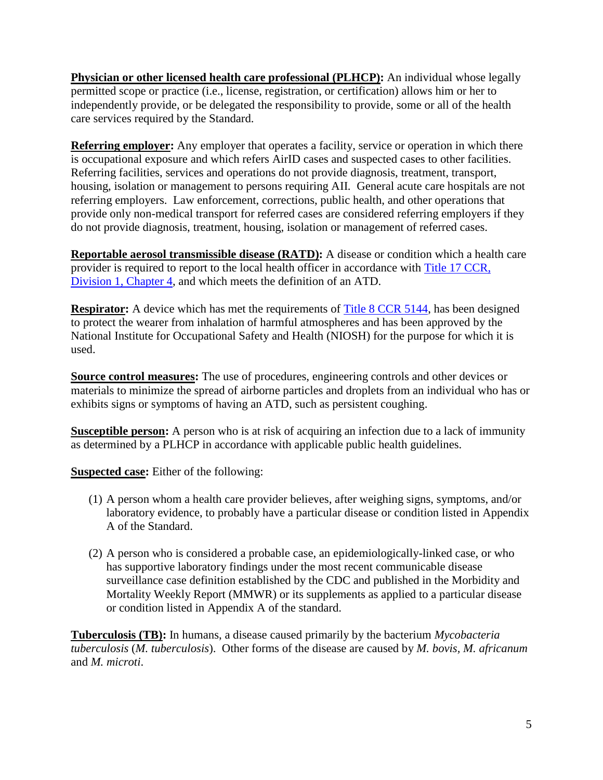**Physician or other licensed health care professional (PLHCP):** An individual whose legally permitted scope or practice (i.e., license, registration, or certification) allows him or her to independently provide, or be delegated the responsibility to provide, some or all of the health care services required by the Standard.

**Referring employer:** Any employer that operates a facility, service or operation in which there is occupational exposure and which refers AirID cases and suspected cases to other facilities. Referring facilities, services and operations do not provide diagnosis, treatment, transport, housing, isolation or management to persons requiring AII. General acute care hospitals are not referring employers. Law enforcement, corrections, public health, and other operations that provide only non-medical transport for referred cases are considered referring employers if they do not provide diagnosis, treatment, housing, isolation or management of referred cases.

**Reportable aerosol transmissible disease (RATD):** A disease or condition which a health care provider is required to report to the local health officer in accordance with [Title 17 CCR,](http://eziz.org/assets/docs/IMM-1080.pdf)  [Division 1, Chapter 4,](http://eziz.org/assets/docs/IMM-1080.pdf) and which meets the definition of an ATD.

**Respirator:** A device which has met the requirements of [Title 8 CCR 5144,](https://www.dir.ca.gov/title8/5144.html) has been designed to protect the wearer from inhalation of harmful atmospheres and has been approved by the National Institute for Occupational Safety and Health (NIOSH) for the purpose for which it is used.

**Source control measures:** The use of procedures, engineering controls and other devices or materials to minimize the spread of airborne particles and droplets from an individual who has or exhibits signs or symptoms of having an ATD, such as persistent coughing.

**Susceptible person:** A person who is at risk of acquiring an infection due to a lack of immunity as determined by a PLHCP in accordance with applicable public health guidelines.

**Suspected case:** Either of the following:

- (1) A person whom a health care provider believes, after weighing signs, symptoms, and/or laboratory evidence, to probably have a particular disease or condition listed in Appendix A of the Standard.
- (2) A person who is considered a probable case, an epidemiologically-linked case, or who has supportive laboratory findings under the most recent communicable disease surveillance case definition established by the CDC and published in the Morbidity and Mortality Weekly Report (MMWR) or its supplements as applied to a particular disease or condition listed in Appendix A of the standard.

**Tuberculosis (TB):** In humans, a disease caused primarily by the bacterium *Mycobacteria tuberculosis* (*M. tuberculosis*). Other forms of the disease are caused by *M. bovis, M. africanum* and *M. microti*.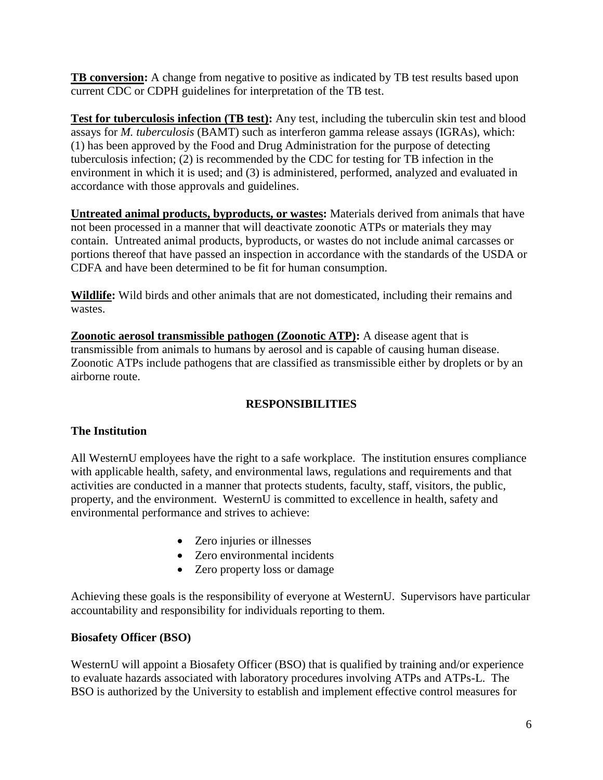**TB conversion:** A change from negative to positive as indicated by TB test results based upon current CDC or CDPH guidelines for interpretation of the TB test.

**Test for tuberculosis infection (TB test):** Any test, including the tuberculin skin test and blood assays for *M. tuberculosis* (BAMT) such as interferon gamma release assays (IGRAs), which: (1) has been approved by the Food and Drug Administration for the purpose of detecting tuberculosis infection; (2) is recommended by the CDC for testing for TB infection in the environment in which it is used; and (3) is administered, performed, analyzed and evaluated in accordance with those approvals and guidelines.

**Untreated animal products, byproducts, or wastes:** Materials derived from animals that have not been processed in a manner that will deactivate zoonotic ATPs or materials they may contain. Untreated animal products, byproducts, or wastes do not include animal carcasses or portions thereof that have passed an inspection in accordance with the standards of the USDA or CDFA and have been determined to be fit for human consumption.

**Wildlife:** Wild birds and other animals that are not domesticated, including their remains and wastes.

**Zoonotic aerosol transmissible pathogen (Zoonotic ATP):** A disease agent that is transmissible from animals to humans by aerosol and is capable of causing human disease. Zoonotic ATPs include pathogens that are classified as transmissible either by droplets or by an airborne route.

# **RESPONSIBILITIES**

# **The Institution**

All WesternU employees have the right to a safe workplace. The institution ensures compliance with applicable health, safety, and environmental laws, regulations and requirements and that activities are conducted in a manner that protects students, faculty, staff, visitors, the public, property, and the environment. WesternU is committed to excellence in health, safety and environmental performance and strives to achieve:

- Zero injuries or illnesses
- Zero environmental incidents
- Zero property loss or damage

Achieving these goals is the responsibility of everyone at WesternU. Supervisors have particular accountability and responsibility for individuals reporting to them.

# **Biosafety Officer (BSO)**

WesternU will appoint a Biosafety Officer (BSO) that is qualified by training and/or experience to evaluate hazards associated with laboratory procedures involving ATPs and ATPs-L. The BSO is authorized by the University to establish and implement effective control measures for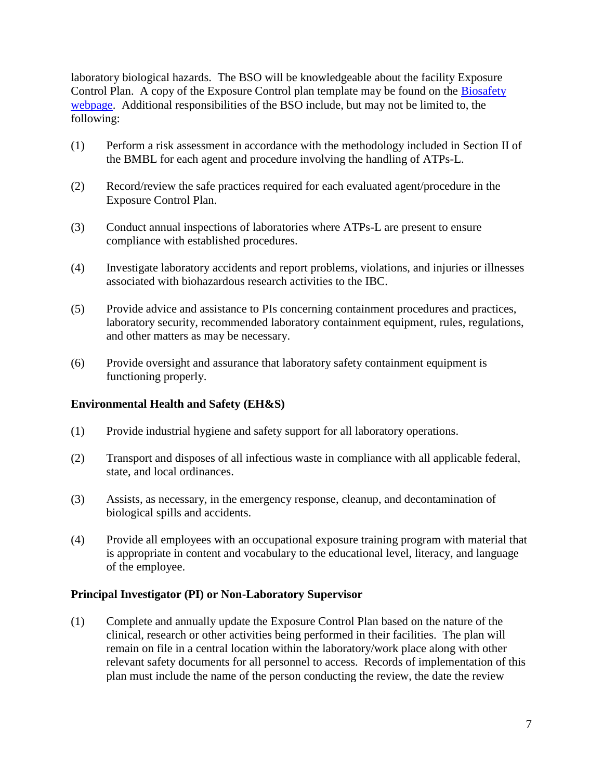laboratory biological hazards. The BSO will be knowledgeable about the facility Exposure Control Plan. A copy of the Exposure Control plan template may be found on the Biosafety [webpage.](http://www.westernu.edu/research/regulatory-affairs/research-biosafety/) Additional responsibilities of the BSO include, but may not be limited to, the following:

- (1) Perform a risk assessment in accordance with the methodology included in Section II of the BMBL for each agent and procedure involving the handling of ATPs-L.
- (2) Record/review the safe practices required for each evaluated agent/procedure in the Exposure Control Plan.
- (3) Conduct annual inspections of laboratories where ATPs-L are present to ensure compliance with established procedures.
- (4) Investigate laboratory accidents and report problems, violations, and injuries or illnesses associated with biohazardous research activities to the IBC.
- (5) Provide advice and assistance to PIs concerning containment procedures and practices, laboratory security, recommended laboratory containment equipment, rules, regulations, and other matters as may be necessary.
- (6) Provide oversight and assurance that laboratory safety containment equipment is functioning properly.

#### **Environmental Health and Safety (EH&S)**

- (1) Provide industrial hygiene and safety support for all laboratory operations.
- (2) Transport and disposes of all infectious waste in compliance with all applicable federal, state, and local ordinances.
- (3) Assists, as necessary, in the emergency response, cleanup, and decontamination of biological spills and accidents.
- (4) Provide all employees with an occupational exposure training program with material that is appropriate in content and vocabulary to the educational level, literacy, and language of the employee.

#### **Principal Investigator (PI) or Non-Laboratory Supervisor**

(1) Complete and annually update the Exposure Control Plan based on the nature of the clinical, research or other activities being performed in their facilities. The plan will remain on file in a central location within the laboratory/work place along with other relevant safety documents for all personnel to access. Records of implementation of this plan must include the name of the person conducting the review, the date the review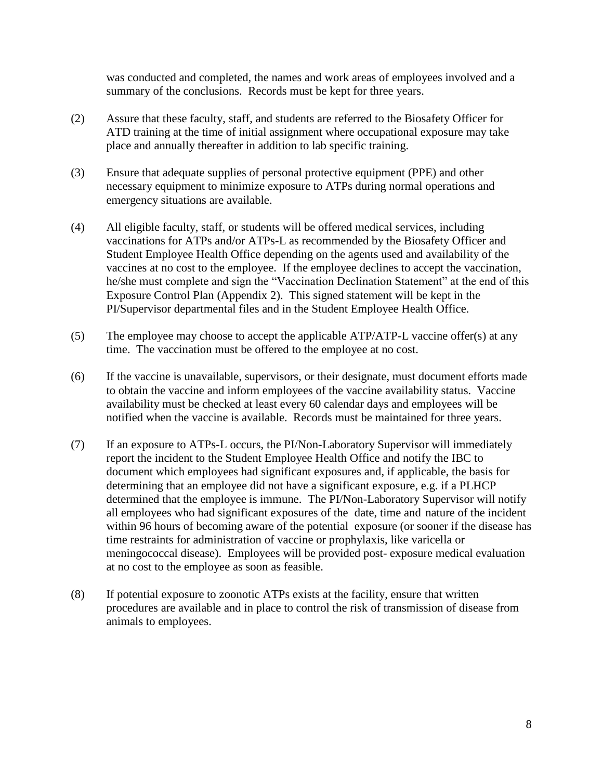was conducted and completed, the names and work areas of employees involved and a summary of the conclusions. Records must be kept for three years.

- (2) Assure that these faculty, staff, and students are referred to the Biosafety Officer for ATD training at the time of initial assignment where occupational exposure may take place and annually thereafter in addition to lab specific training.
- (3) Ensure that adequate supplies of personal protective equipment (PPE) and other necessary equipment to minimize exposure to ATPs during normal operations and emergency situations are available.
- (4) All eligible faculty, staff, or students will be offered medical services, including vaccinations for ATPs and/or ATPs-L as recommended by the Biosafety Officer and Student Employee Health Office depending on the agents used and availability of the vaccines at no cost to the employee. If the employee declines to accept the vaccination, he/she must complete and sign the "Vaccination Declination Statement" at the end of this Exposure Control Plan (Appendix 2). This signed statement will be kept in the PI/Supervisor departmental files and in the Student Employee Health Office.
- (5) The employee may choose to accept the applicable ATP/ATP-L vaccine offer(s) at any time. The vaccination must be offered to the employee at no cost.
- (6) If the vaccine is unavailable, supervisors, or their designate, must document efforts made to obtain the vaccine and inform employees of the vaccine availability status. Vaccine availability must be checked at least every 60 calendar days and employees will be notified when the vaccine is available. Records must be maintained for three years.
- (7) If an exposure to ATPs-L occurs, the PI/Non-Laboratory Supervisor will immediately report the incident to the Student Employee Health Office and notify the IBC to document which employees had significant exposures and, if applicable, the basis for determining that an employee did not have a significant exposure, e.g. if a PLHCP determined that the employee is immune. The PI/Non-Laboratory Supervisor will notify all employees who had significant exposures of the date, time and nature of the incident within 96 hours of becoming aware of the potential exposure (or sooner if the disease has time restraints for administration of vaccine or prophylaxis, like varicella or meningococcal disease). Employees will be provided post- exposure medical evaluation at no cost to the employee as soon as feasible.
- (8) If potential exposure to zoonotic ATPs exists at the facility, ensure that written procedures are available and in place to control the risk of transmission of disease from animals to employees.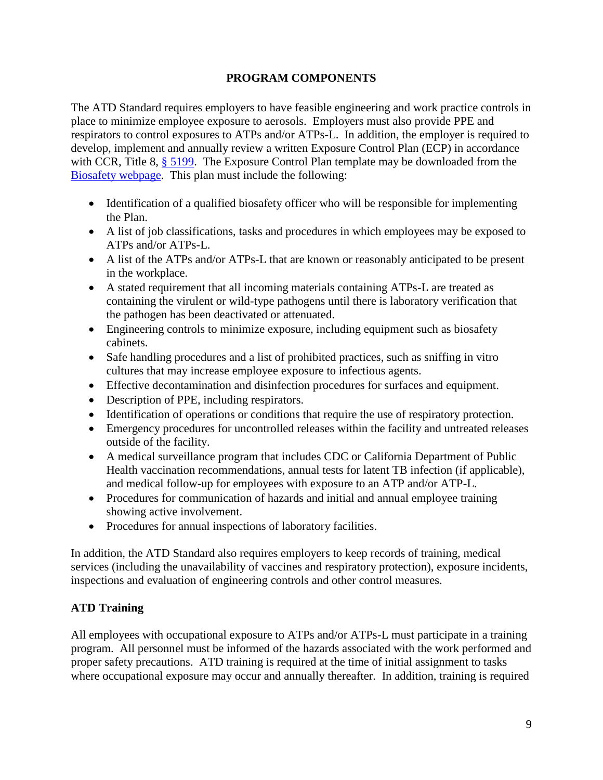### **PROGRAM COMPONENTS**

The ATD Standard requires employers to have feasible engineering and work practice controls in place to minimize employee exposure to aerosols. Employers must also provide PPE and respirators to control exposures to ATPs and/or ATPs-L. In addition, the employer is required to develop, implement and annually review a written Exposure Control Plan (ECP) in accordance with CCR, Title 8, [§ 5199.](http://www.dir.ca.gov/title8/5199.HTML) The Exposure Control Plan template may be downloaded from the [Biosafety webpage.](http://www.westernu.edu/research/regulatory-affairs/research-biosafety/) This plan must include the following:

- Identification of a qualified biosafety officer who will be responsible for implementing the Plan.
- A list of job classifications, tasks and procedures in which employees may be exposed to ATPs and/or ATPs-L.
- A list of the ATPs and/or ATPs-L that are known or reasonably anticipated to be present in the workplace.
- A stated requirement that all incoming materials containing ATPs-L are treated as containing the virulent or wild-type pathogens until there is laboratory verification that the pathogen has been deactivated or attenuated.
- Engineering controls to minimize exposure, including equipment such as biosafety cabinets.
- Safe handling procedures and a list of prohibited practices, such as sniffing in vitro cultures that may increase employee exposure to infectious agents.
- Effective decontamination and disinfection procedures for surfaces and equipment.
- Description of PPE, including respirators.
- Identification of operations or conditions that require the use of respiratory protection.
- Emergency procedures for uncontrolled releases within the facility and untreated releases outside of the facility.
- A medical surveillance program that includes CDC or California Department of Public Health vaccination recommendations, annual tests for latent TB infection (if applicable), and medical follow-up for employees with exposure to an ATP and/or ATP-L.
- Procedures for communication of hazards and initial and annual employee training showing active involvement.
- Procedures for annual inspections of laboratory facilities.

In addition, the ATD Standard also requires employers to keep records of training, medical services (including the unavailability of vaccines and respiratory protection), exposure incidents, inspections and evaluation of engineering controls and other control measures.

# **ATD Training**

All employees with occupational exposure to ATPs and/or ATPs-L must participate in a training program. All personnel must be informed of the hazards associated with the work performed and proper safety precautions. ATD training is required at the time of initial assignment to tasks where occupational exposure may occur and annually thereafter. In addition, training is required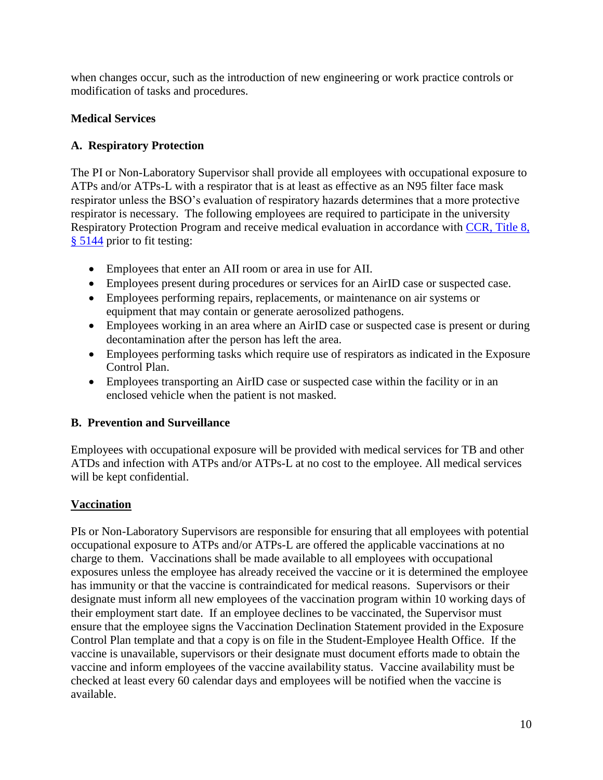when changes occur, such as the introduction of new engineering or work practice controls or modification of tasks and procedures.

# **Medical Services**

# **A. Respiratory Protection**

The PI or Non-Laboratory Supervisor shall provide all employees with occupational exposure to ATPs and/or ATPs-L with a respirator that is at least as effective as an N95 filter face mask respirator unless the BSO's evaluation of respiratory hazards determines that a more protective respirator is necessary. The following employees are required to participate in the university Respiratory Protection Program and receive medical evaluation in accordance with CCR, Title 8, [§ 5144](https://www.dir.ca.gov/title8/5144.html) prior to fit testing:

- Employees that enter an AII room or area in use for AII.
- Employees present during procedures or services for an AirID case or suspected case.
- Employees performing repairs, replacements, or maintenance on air systems or equipment that may contain or generate aerosolized pathogens.
- Employees working in an area where an AirID case or suspected case is present or during decontamination after the person has left the area.
- Employees performing tasks which require use of respirators as indicated in the Exposure Control Plan.
- Employees transporting an AirID case or suspected case within the facility or in an enclosed vehicle when the patient is not masked.

# **B. Prevention and Surveillance**

Employees with occupational exposure will be provided with medical services for TB and other ATDs and infection with ATPs and/or ATPs-L at no cost to the employee. All medical services will be kept confidential.

# **Vaccination**

PIs or Non-Laboratory Supervisors are responsible for ensuring that all employees with potential occupational exposure to ATPs and/or ATPs-L are offered the applicable vaccinations at no charge to them. Vaccinations shall be made available to all employees with occupational exposures unless the employee has already received the vaccine or it is determined the employee has immunity or that the vaccine is contraindicated for medical reasons. Supervisors or their designate must inform all new employees of the vaccination program within 10 working days of their employment start date. If an employee declines to be vaccinated, the Supervisor must ensure that the employee signs the Vaccination Declination Statement provided in the Exposure Control Plan template and that a copy is on file in the Student-Employee Health Office. If the vaccine is unavailable, supervisors or their designate must document efforts made to obtain the vaccine and inform employees of the vaccine availability status. Vaccine availability must be checked at least every 60 calendar days and employees will be notified when the vaccine is available.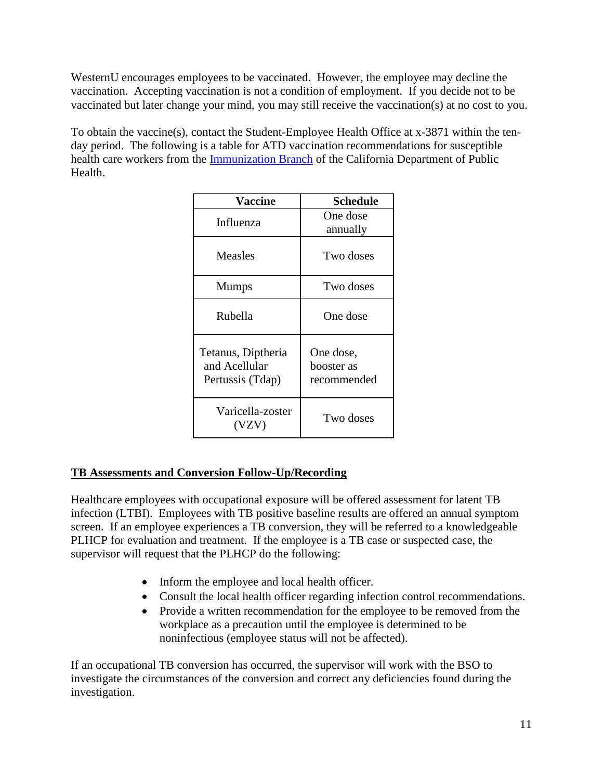WesternU encourages employees to be vaccinated. However, the employee may decline the vaccination. Accepting vaccination is not a condition of employment. If you decide not to be vaccinated but later change your mind, you may still receive the vaccination(s) at no cost to you.

To obtain the vaccine(s), contact the Student-Employee Health Office at x-3871 within the tenday period. The following is a table for ATD vaccination recommendations for susceptible health care workers from the [Immunization Branch](http://www.cdph.ca.gov/programs/immunize/pages/default.aspx) of the California Department of Public Health.

| <b>Vaccine</b>                                          | Schedule                               |
|---------------------------------------------------------|----------------------------------------|
| Influenza                                               | One dose<br>annually                   |
| Measles                                                 | Two doses                              |
| <b>Mumps</b>                                            | Two doses                              |
| Rubella                                                 | One dose                               |
| Tetanus, Diptheria<br>and Acellular<br>Pertussis (Tdap) | One dose,<br>booster as<br>recommended |
| Varicella-zoster<br>(VZV)                               | Two doses                              |

# **TB Assessments and Conversion Follow-Up/Recording**

Healthcare employees with occupational exposure will be offered assessment for latent TB infection (LTBI). Employees with TB positive baseline results are offered an annual symptom screen. If an employee experiences a TB conversion, they will be referred to a knowledgeable PLHCP for evaluation and treatment. If the employee is a TB case or suspected case, the supervisor will request that the PLHCP do the following:

- Inform the employee and local health officer.
- Consult the local health officer regarding infection control recommendations.
- Provide a written recommendation for the employee to be removed from the workplace as a precaution until the employee is determined to be noninfectious (employee status will not be affected).

If an occupational TB conversion has occurred, the supervisor will work with the BSO to investigate the circumstances of the conversion and correct any deficiencies found during the investigation.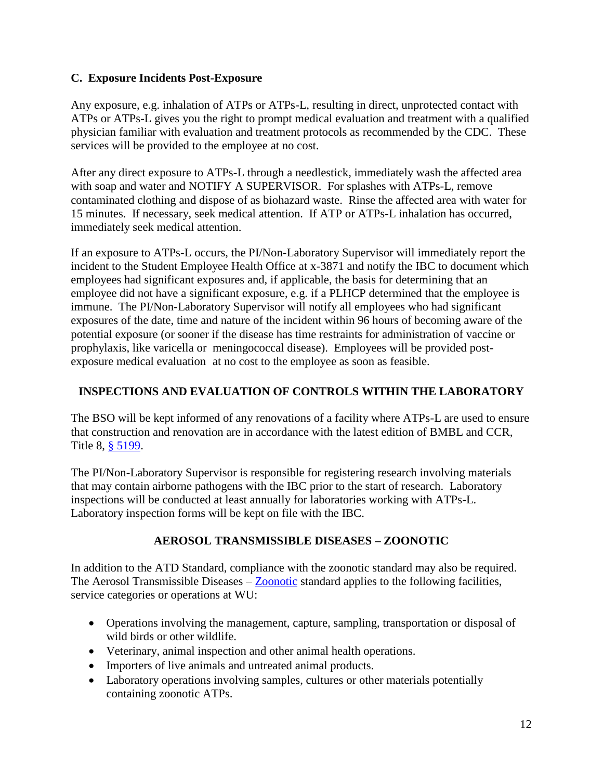### **C. Exposure Incidents Post-Exposure**

Any exposure, e.g. inhalation of ATPs or ATPs-L, resulting in direct, unprotected contact with ATPs or ATPs-L gives you the right to prompt medical evaluation and treatment with a qualified physician familiar with evaluation and treatment protocols as recommended by the CDC. These services will be provided to the employee at no cost.

After any direct exposure to ATPs-L through a needlestick, immediately wash the affected area with soap and water and NOTIFY A SUPERVISOR. For splashes with ATPs-L, remove contaminated clothing and dispose of as biohazard waste. Rinse the affected area with water for 15 minutes. If necessary, seek medical attention. If ATP or ATPs-L inhalation has occurred, immediately seek medical attention.

If an exposure to ATPs-L occurs, the PI/Non-Laboratory Supervisor will immediately report the incident to the Student Employee Health Office at x-3871 and notify the IBC to document which employees had significant exposures and, if applicable, the basis for determining that an employee did not have a significant exposure, e.g. if a PLHCP determined that the employee is immune. The PI/Non-Laboratory Supervisor will notify all employees who had significant exposures of the date, time and nature of the incident within 96 hours of becoming aware of the potential exposure (or sooner if the disease has time restraints for administration of vaccine or prophylaxis, like varicella or meningococcal disease). Employees will be provided postexposure medical evaluation at no cost to the employee as soon as feasible.

### **INSPECTIONS AND EVALUATION OF CONTROLS WITHIN THE LABORATORY**

The BSO will be kept informed of any renovations of a facility where ATPs-L are used to ensure that construction and renovation are in accordance with the latest edition of BMBL and CCR, Title 8, [§ 5199.](http://www.dir.ca.gov/title8/5199.HTML)

The PI/Non-Laboratory Supervisor is responsible for registering research involving materials that may contain airborne pathogens with the IBC prior to the start of research. Laboratory inspections will be conducted at least annually for laboratories working with ATPs-L. Laboratory inspection forms will be kept on file with the IBC.

# **AEROSOL TRANSMISSIBLE DISEASES – ZOONOTIC**

In addition to the ATD Standard, compliance with the zoonotic standard may also be required. The Aerosol Transmissible Diseases – [Zoonotic](https://www.dir.ca.gov/title8/5199-1.html) standard applies to the following facilities, service categories or operations at WU:

- Operations involving the management, capture, sampling, transportation or disposal of wild birds or other wildlife.
- Veterinary, animal inspection and other animal health operations.
- Importers of live animals and untreated animal products.
- Laboratory operations involving samples, cultures or other materials potentially containing zoonotic ATPs.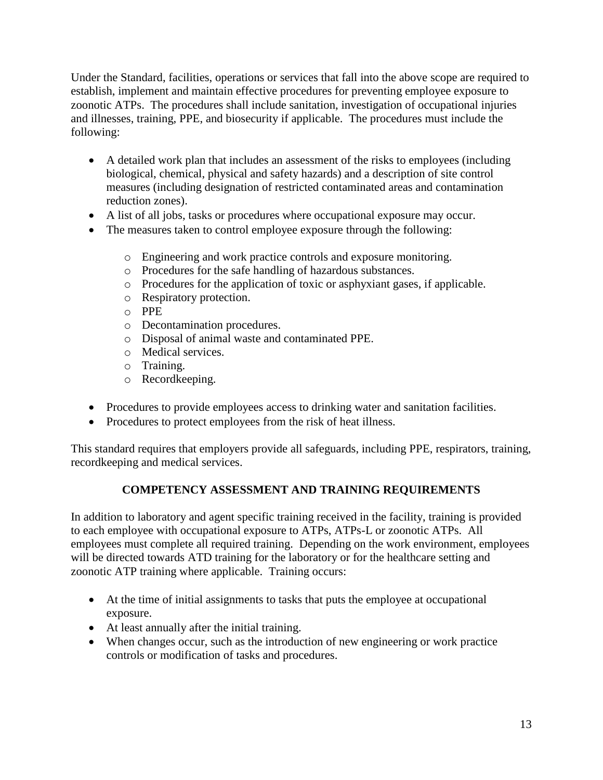Under the Standard, facilities, operations or services that fall into the above scope are required to establish, implement and maintain effective procedures for preventing employee exposure to zoonotic ATPs. The procedures shall include sanitation, investigation of occupational injuries and illnesses, training, PPE, and biosecurity if applicable. The procedures must include the following:

- A detailed work plan that includes an assessment of the risks to employees (including biological, chemical, physical and safety hazards) and a description of site control measures (including designation of restricted contaminated areas and contamination reduction zones).
- A list of all jobs, tasks or procedures where occupational exposure may occur.
- The measures taken to control employee exposure through the following:
	- o Engineering and work practice controls and exposure monitoring.
	- o Procedures for the safe handling of hazardous substances.
	- o Procedures for the application of toxic or asphyxiant gases, if applicable.
	- o Respiratory protection.
	- o PPE
	- o Decontamination procedures.
	- o Disposal of animal waste and contaminated PPE.
	- o Medical services.
	- o Training.
	- o Recordkeeping.
- Procedures to provide employees access to drinking water and sanitation facilities.
- Procedures to protect employees from the risk of heat illness.

This standard requires that employers provide all safeguards, including PPE, respirators, training, recordkeeping and medical services.

# **COMPETENCY ASSESSMENT AND TRAINING REQUIREMENTS**

In addition to laboratory and agent specific training received in the facility, training is provided to each employee with occupational exposure to ATPs, ATPs-L or zoonotic ATPs. All employees must complete all required training. Depending on the work environment, employees will be directed towards ATD training for the laboratory or for the healthcare setting and zoonotic ATP training where applicable. Training occurs:

- At the time of initial assignments to tasks that puts the employee at occupational exposure.
- At least annually after the initial training.
- When changes occur, such as the introduction of new engineering or work practice controls or modification of tasks and procedures.